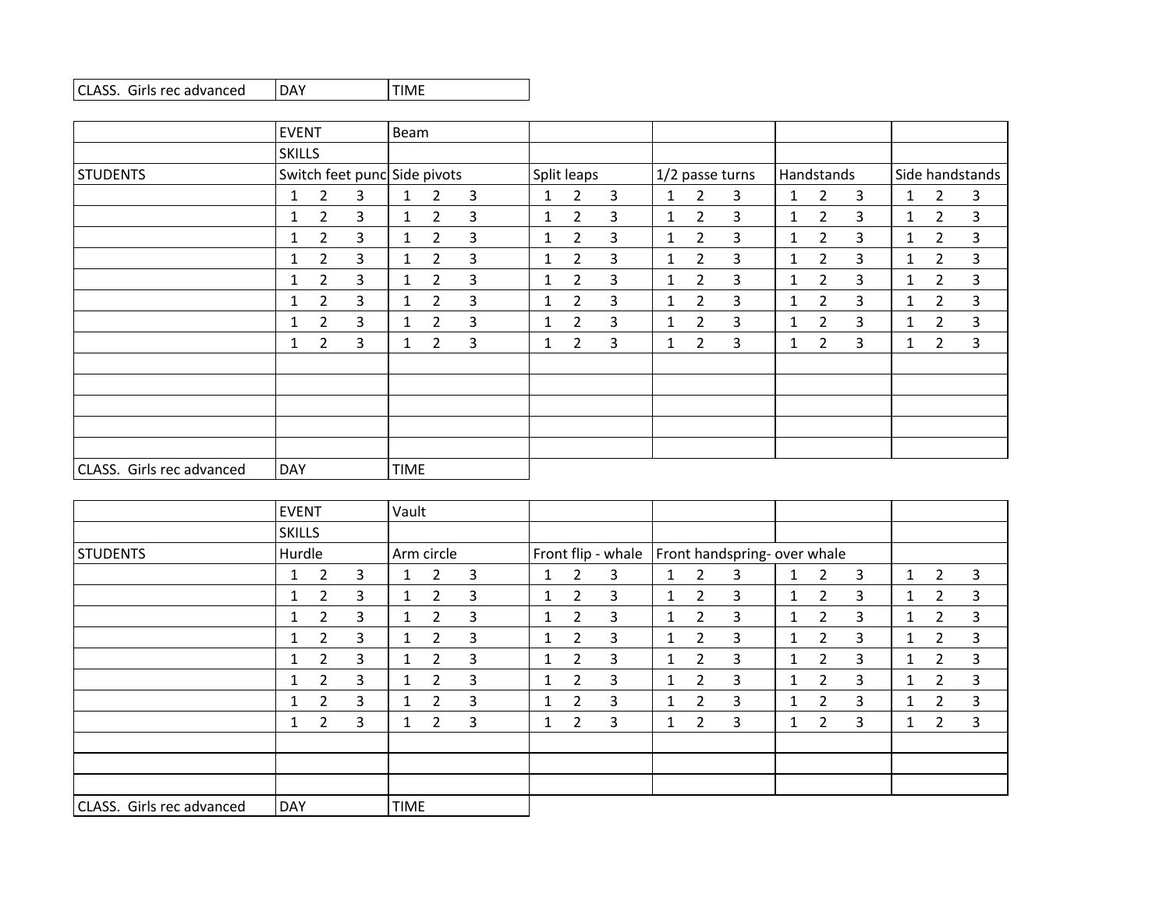| CLASS. Girls rec advanced | <b>IDAY</b> | <b>ITIME</b> |
|---------------------------|-------------|--------------|
|---------------------------|-------------|--------------|

|                           | <b>EVENT</b>  |                |   | Beam         |                              |                |  |              |                |   |              |                 |   |              |                |   |              |                 |              |  |
|---------------------------|---------------|----------------|---|--------------|------------------------------|----------------|--|--------------|----------------|---|--------------|-----------------|---|--------------|----------------|---|--------------|-----------------|--------------|--|
|                           | <b>SKILLS</b> |                |   |              |                              |                |  |              |                |   |              |                 |   |              |                |   |              |                 |              |  |
| <b>STUDENTS</b>           |               |                |   |              | Switch feet punc Side pivots |                |  |              | Split leaps    |   |              | 1/2 passe turns |   |              | Handstands     |   |              | Side handstands |              |  |
|                           | 1             | 2              | 3 | 1            | 2                            | $\overline{3}$ |  | $\mathbf{1}$ | $\overline{2}$ | 3 | 1            | $\overline{2}$  | 3 | 1            | 2              | 3 | 1            | $\overline{2}$  | 3            |  |
|                           | 1             | $\overline{2}$ | 3 | $\mathbf{1}$ | $\overline{2}$               | 3              |  | $\mathbf{1}$ | $\overline{2}$ | 3 | $\mathbf{1}$ | $\overline{2}$  | 3 | $\mathbf{1}$ | $\overline{2}$ | 3 | $\mathbf{1}$ | $\overline{2}$  | 3            |  |
|                           | 1             | $\overline{2}$ | 3 | 1            | $\overline{2}$               | 3              |  | $\mathbf{1}$ | 2              | 3 | $\mathbf{1}$ | $\overline{2}$  | 3 | 1            | $\overline{2}$ | 3 | 1            | $\overline{2}$  | 3            |  |
|                           | 1             | 2              | 3 | $\mathbf{1}$ | 2                            | 3              |  | $\mathbf{1}$ | $\overline{2}$ | 3 | $\mathbf{1}$ | $\overline{2}$  | 3 | 1            | $\overline{2}$ | 3 | $\mathbf{1}$ | $\overline{2}$  | 3            |  |
|                           | 1             | 2              | 3 | 1            | 2                            | 3              |  | $\mathbf{1}$ | 2              | 3 | 1            | $\overline{2}$  | 3 | 1            | $\overline{2}$ | 3 | $\mathbf{1}$ | $\overline{2}$  | $\mathbf{3}$ |  |
|                           | 1             | 2              | 3 | 1            | 2                            | 3              |  | 1            | 2              | 3 | 1            | 2               | 3 | 1            | $\overline{2}$ | 3 |              | 2               | 3            |  |
|                           | 1             | $\overline{2}$ | 3 | $\mathbf{1}$ | $\overline{2}$               | 3              |  | $\mathbf{1}$ | $\overline{2}$ | 3 | $\mathbf{1}$ | $\overline{2}$  | 3 | $\mathbf{1}$ | $\overline{2}$ | 3 | $\mathbf{1}$ | $\overline{2}$  | $\mathbf{3}$ |  |
|                           | 1             | 2              | 3 | $\mathbf{1}$ | 2                            | 3              |  | $\mathbf{1}$ | 2              | 3 | 1            | $\overline{2}$  | 3 | 1            | $\overline{2}$ | 3 | 1            | 2               | 3            |  |
|                           |               |                |   |              |                              |                |  |              |                |   |              |                 |   |              |                |   |              |                 |              |  |
|                           |               |                |   |              |                              |                |  |              |                |   |              |                 |   |              |                |   |              |                 |              |  |
|                           |               |                |   |              |                              |                |  |              |                |   |              |                 |   |              |                |   |              |                 |              |  |
|                           |               |                |   |              |                              |                |  |              |                |   |              |                 |   |              |                |   |              |                 |              |  |
|                           |               |                |   |              |                              |                |  |              |                |   |              |                 |   |              |                |   |              |                 |              |  |
| CLASS. Girls rec advanced | <b>DAY</b>    |                |   | <b>TIME</b>  |                              |                |  |              |                |   |              |                 |   |              |                |   |              |                 |              |  |

|                           |               | <b>EVENT</b>   |   |              | Vault          |   |              |                    |   |              |                       |                              |              |                       |   |              |                |              |
|---------------------------|---------------|----------------|---|--------------|----------------|---|--------------|--------------------|---|--------------|-----------------------|------------------------------|--------------|-----------------------|---|--------------|----------------|--------------|
|                           | <b>SKILLS</b> |                |   |              |                |   |              |                    |   |              |                       |                              |              |                       |   |              |                |              |
| STUDENTS                  | Hurdle        |                |   |              | Arm circle     |   |              | Front flip - whale |   |              |                       | Front handspring- over whale |              |                       |   |              |                |              |
|                           |               | 2              | 3 | $\mathbf{1}$ | 2              | 3 | $\mathbf{1}$ | 2                  | 3 | 1            | $\overline{2}$        | 3                            | $\mathbf{1}$ | $\overline{2}$        | 3 | $\mathbf{1}$ | 2              | 3            |
|                           |               | $\overline{2}$ | 3 | $\mathbf{1}$ | 2              | 3 | $\mathbf{1}$ | 2                  | 3 | 1            | 2                     | 3                            | 1            | 2                     | 3 | $\mathbf{1}$ | 2              | 3            |
|                           | 1             | $\overline{2}$ | 3 | $\mathbf{1}$ | $\overline{2}$ | 3 | $\mathbf{1}$ | $\overline{2}$     | 3 | 1            | $\overline{2}$        | 3                            | 1            | $\mathbf{2}^{\prime}$ | 3 | $\mathbf{1}$ | $\overline{2}$ | 3            |
|                           |               | $\overline{2}$ | 3 | $\mathbf{1}$ | $\overline{2}$ | 3 | $\mathbf{1}$ | 2                  | 3 | 1            | 2                     | 3                            | 1            | 2                     | 3 | $\mathbf{1}$ | 2              | 3            |
|                           | 1             | $\overline{2}$ | 3 | $\mathbf{1}$ | $\overline{2}$ | 3 | $\mathbf{1}$ | $\overline{2}$     | 3 | 1            | $\overline{2}$        | 3                            | 1            | $\overline{2}$        | 3 | $\mathbf{1}$ | $\overline{2}$ | 3            |
|                           | 1             | $\overline{2}$ | 3 | $\mathbf{1}$ | $\overline{2}$ | 3 | $\mathbf{1}$ | $\overline{2}$     | 3 | $\mathbf{1}$ | 2                     | 3                            | 1            | $\overline{2}$        | 3 | $\mathbf{1}$ | $\overline{2}$ | $\mathbf{3}$ |
|                           | 1             | $\overline{2}$ | 3 | $\mathbf{1}$ | $\overline{2}$ | 3 | 1.           | $\overline{2}$     | 3 | 1            | $\overline{2}$        | 3                            | 1            | $\overline{2}$        | 3 | $\mathbf{1}$ | $\overline{2}$ | 3            |
|                           | 1             | $\overline{2}$ | 3 | $\mathbf{1}$ | 2              | 3 | $\mathbf{1}$ | $\overline{2}$     | 3 | 1            | $\mathbf{2}^{\prime}$ | 3                            | 1            | $\mathbf{2}^{\prime}$ | 3 | 1            | $\overline{2}$ | 3            |
|                           |               |                |   |              |                |   |              |                    |   |              |                       |                              |              |                       |   |              |                |              |
|                           |               |                |   |              |                |   |              |                    |   |              |                       |                              |              |                       |   |              |                |              |
|                           |               |                |   |              |                |   |              |                    |   |              |                       |                              |              |                       |   |              |                |              |
| CLASS. Girls rec advanced | DAY           |                |   | <b>TIME</b>  |                |   |              |                    |   |              |                       |                              |              |                       |   |              |                |              |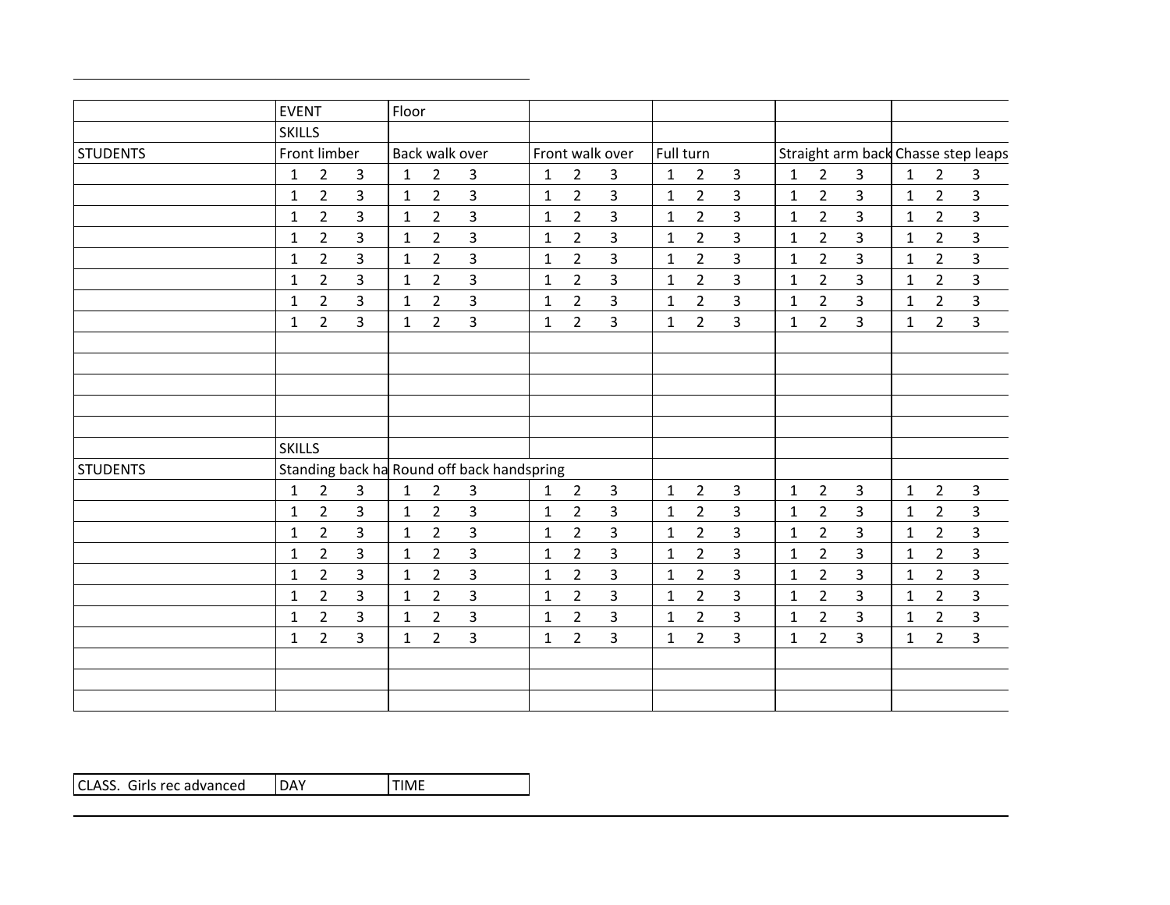|                 | <b>EVENT</b>  |                |                | Floor        |                |                                            |              |                |                 |              |                |                |              |                |                |              |                |                                     |
|-----------------|---------------|----------------|----------------|--------------|----------------|--------------------------------------------|--------------|----------------|-----------------|--------------|----------------|----------------|--------------|----------------|----------------|--------------|----------------|-------------------------------------|
|                 | <b>SKILLS</b> |                |                |              |                |                                            |              |                |                 |              |                |                |              |                |                |              |                |                                     |
| <b>STUDENTS</b> |               | Front limber   |                |              |                | Back walk over                             |              |                | Front walk over | Full turn    |                |                |              |                |                |              |                | Straight arm back Chasse step leaps |
|                 | 1             | 2              | 3              | 1            | $\overline{2}$ | 3                                          | 1            | $\overline{2}$ | 3               | $\mathbf{1}$ | $\overline{2}$ | 3              | 1            | $\overline{2}$ | $\mathbf{3}$   | $\mathbf{1}$ | $\overline{2}$ | $\overline{3}$                      |
|                 | $\mathbf{1}$  | $\overline{2}$ | 3              | $\mathbf{1}$ | $\overline{2}$ | $\overline{3}$                             | $\mathbf{1}$ | $\overline{2}$ | $\overline{3}$  | $\mathbf{1}$ | $\overline{2}$ | 3              | $\mathbf{1}$ | $\overline{2}$ | 3              | $\mathbf{1}$ | $\overline{2}$ | $\overline{\mathbf{3}}$             |
|                 | $\mathbf{1}$  | $\overline{2}$ | $\overline{3}$ | $\mathbf{1}$ | $\overline{2}$ | 3                                          | $\mathbf{1}$ | $\overline{2}$ | 3               | $\mathbf{1}$ | $2^{\circ}$    | 3              | 1            | $\overline{2}$ | 3              | $\mathbf{1}$ | $\overline{2}$ | $\overline{3}$                      |
|                 | 1             | $\overline{2}$ | $\overline{3}$ | $\mathbf{1}$ | $\overline{2}$ | $\overline{3}$                             | $\mathbf{1}$ | $\overline{2}$ | $\overline{3}$  | $\mathbf{1}$ | $\mathbf{2}$   | $\overline{3}$ | $\mathbf{1}$ | $\overline{2}$ | $\overline{3}$ | $\mathbf{1}$ | $\overline{2}$ | $\overline{\mathbf{3}}$             |
|                 | $\mathbf{1}$  | $\overline{2}$ | $\overline{3}$ | $\mathbf{1}$ | $\overline{2}$ | $\overline{3}$                             | $\mathbf{1}$ | $\overline{2}$ | $\overline{3}$  | $\mathbf{1}$ | $\overline{2}$ | $\overline{3}$ | $\mathbf{1}$ | $\overline{2}$ | $\overline{3}$ | $\mathbf{1}$ | $\overline{2}$ | $\overline{3}$                      |
|                 | $\mathbf{1}$  | $\overline{2}$ | $\overline{3}$ | $\mathbf{1}$ | $\overline{2}$ | $\overline{3}$                             | $\mathbf{1}$ | $\overline{2}$ | $\overline{3}$  | $\mathbf{1}$ | $\overline{2}$ | 3              | $\mathbf{1}$ | $\overline{2}$ | 3              | $\mathbf{1}$ | $\overline{2}$ | $\overline{3}$                      |
|                 | $\mathbf{1}$  | $\overline{2}$ | $\overline{3}$ | $\mathbf{1}$ | $\overline{2}$ | $\mathbf{3}$                               | $\mathbf{1}$ | $\overline{2}$ | 3               | $\mathbf{1}$ | $\overline{2}$ | 3              | $\mathbf{1}$ | $2^{\circ}$    | $\overline{3}$ | $\mathbf{1}$ | $\overline{2}$ | $\overline{3}$                      |
|                 | $\mathbf{1}$  | $\overline{2}$ | $\overline{3}$ | $\mathbf{1}$ | $\overline{2}$ | $\mathbf{3}$                               | $\mathbf{1}$ | $\overline{2}$ | $\overline{3}$  | $\mathbf{1}$ | $2^{\circ}$    | $\overline{3}$ | $\mathbf{1}$ | $\overline{2}$ | $\overline{3}$ | $\mathbf{1}$ | $\overline{2}$ | $\overline{3}$                      |
|                 |               |                |                |              |                |                                            |              |                |                 |              |                |                |              |                |                |              |                |                                     |
|                 |               |                |                |              |                |                                            |              |                |                 |              |                |                |              |                |                |              |                |                                     |
|                 |               |                |                |              |                |                                            |              |                |                 |              |                |                |              |                |                |              |                |                                     |
|                 |               |                |                |              |                |                                            |              |                |                 |              |                |                |              |                |                |              |                |                                     |
|                 |               |                |                |              |                |                                            |              |                |                 |              |                |                |              |                |                |              |                |                                     |
|                 | <b>SKILLS</b> |                |                |              |                |                                            |              |                |                 |              |                |                |              |                |                |              |                |                                     |
| <b>STUDENTS</b> |               |                |                |              |                | Standing back ha Round off back handspring |              |                |                 |              |                |                |              |                |                |              |                |                                     |
|                 | $\mathbf{1}$  | $\overline{2}$ | $\mathbf{3}$   | $\mathbf{1}$ | $\overline{2}$ | $\mathbf{3}$                               | $\mathbf{1}$ | $\overline{2}$ | $\overline{3}$  | $\mathbf{1}$ | $\overline{2}$ | 3              | $\mathbf{1}$ | $\overline{2}$ | $\mathbf{3}$   | $\mathbf{1}$ | $\overline{2}$ | $\mathbf{3}$                        |
|                 | $\mathbf{1}$  | $2^{\circ}$    | $\mathbf{3}$   | $\mathbf{1}$ | $\overline{2}$ | 3                                          | $\mathbf{1}$ | $\overline{2}$ | 3               | $\mathbf{1}$ | $\overline{2}$ | 3              | $\mathbf{1}$ | $\overline{2}$ | $\overline{3}$ | $\mathbf{1}$ | $2^{\circ}$    | 3                                   |
|                 | $\mathbf{1}$  | $\overline{2}$ | 3              | $\mathbf{1}$ | $\overline{2}$ | $\overline{3}$                             | $\mathbf{1}$ | $\overline{2}$ | $\overline{3}$  | $\mathbf{1}$ | $\mathbf{2}$   | 3              | $\mathbf{1}$ | $\overline{2}$ | 3              | $\mathbf{1}$ | $\overline{2}$ | $\overline{\mathbf{3}}$             |
|                 | $\mathbf{1}$  | $\overline{2}$ | 3              | $\mathbf{1}$ | $\overline{2}$ | $\overline{3}$                             | $\mathbf{1}$ | $\overline{2}$ | $\overline{3}$  | $\mathbf{1}$ | $\overline{2}$ | 3              | $\mathbf{1}$ | $\overline{2}$ | 3              | $\mathbf{1}$ | $\overline{2}$ | $\overline{\mathbf{3}}$             |
|                 | $\mathbf{1}$  | $\overline{2}$ | $\mathbf{3}$   | $\mathbf{1}$ | $\mathbf{2}$   | $\overline{3}$                             | $\mathbf{1}$ | $\overline{2}$ | $\overline{3}$  | $\mathbf{1}$ | $\mathbf{2}$   | 3              | $\mathbf{1}$ | $\overline{2}$ | 3              | $\mathbf{1}$ | $\overline{2}$ | $\overline{3}$                      |
|                 | $\mathbf{1}$  | $\overline{2}$ | $\overline{3}$ | $\mathbf{1}$ | $\overline{2}$ | $\overline{3}$                             | $\mathbf{1}$ | $\overline{2}$ | $\overline{3}$  | $\mathbf{1}$ | $2^{\circ}$    | 3              | $\mathbf{1}$ | $2^{\circ}$    | 3              | $\mathbf{1}$ | $\overline{2}$ | $\overline{3}$                      |
|                 | 1             | $\overline{2}$ | $\overline{3}$ | $\mathbf{1}$ | $\overline{2}$ | 3                                          | 1            | $\overline{2}$ | $\overline{3}$  | 1            | $\overline{2}$ | 3              | $\mathbf{1}$ | $2^{\circ}$    | 3              | $\mathbf{1}$ | $\overline{2}$ | $\overline{3}$                      |
|                 | $\mathbf{1}$  | $\overline{2}$ | $\overline{3}$ | $\mathbf{1}$ | $\overline{2}$ | $\overline{3}$                             | $\mathbf{1}$ | $\overline{2}$ | $\overline{3}$  | $\mathbf{1}$ | $\overline{2}$ | 3              | $\mathbf{1}$ | $\overline{2}$ | 3              | $\mathbf{1}$ | $\overline{2}$ | $\overline{3}$                      |
|                 |               |                |                |              |                |                                            |              |                |                 |              |                |                |              |                |                |              |                |                                     |
|                 |               |                |                |              |                |                                            |              |                |                 |              |                |                |              |                |                |              |                |                                     |
|                 |               |                |                |              |                |                                            |              |                |                 |              |                |                |              |                |                |              |                |                                     |

| CLASS. Girls rec advanced | DAY | 'TIME |
|---------------------------|-----|-------|
|                           |     |       |